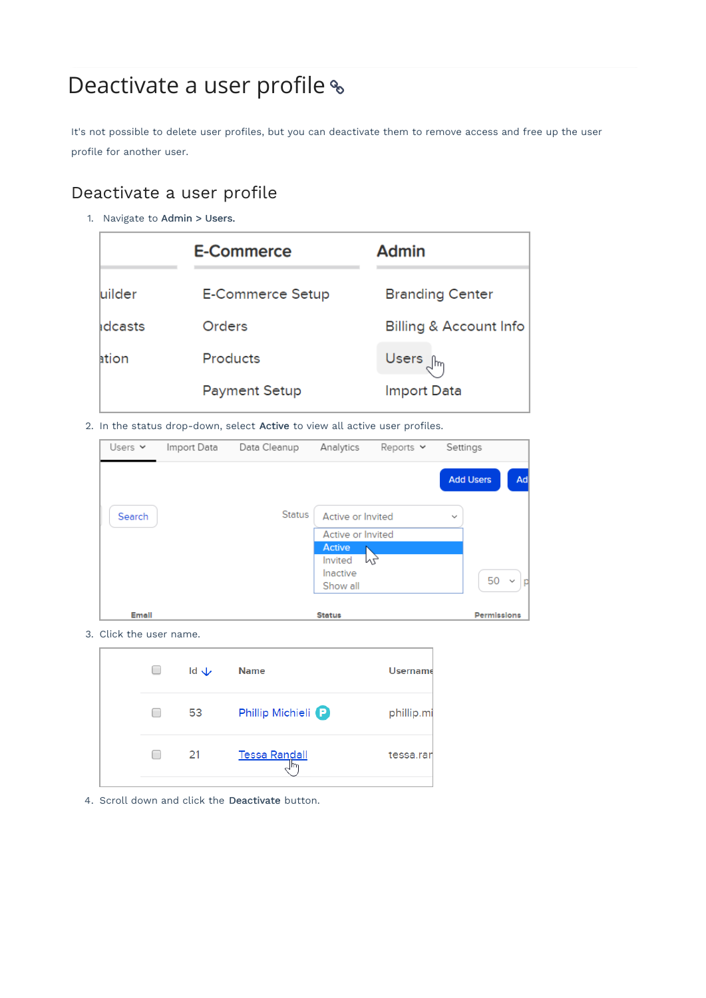# Deactivate a user profile  $\textdegree$

It's not possible to delete user profiles, but you can deactivate them to remove access and free up the user profile for another user.

# Deactivate a user profile

1. Navigate to Admin > Users.

|                | <b>E-Commerce</b>       | <b>Admin</b>                      |
|----------------|-------------------------|-----------------------------------|
| luilder        | <b>E-Commerce Setup</b> | <b>Branding Center</b>            |
| <b>Idcasts</b> | Orders                  | <b>Billing &amp; Account Info</b> |
| ation          | <b>Products</b>         | Users <sub>dm</sub>               |
|                | <b>Payment Setup</b>    | <b>Import Data</b>                |

2. In the status drop-down, select Active to view all active user profiles.

| Users $\vee$ | Import Data | Data Cleanup  | Analytics         | Reports $\vee$ | Settings         |                    |
|--------------|-------------|---------------|-------------------|----------------|------------------|--------------------|
|              |             |               |                   |                | <b>Add Users</b> | Ad                 |
| Search       |             | <b>Status</b> | Active or Invited |                | $\sim$           |                    |
|              |             |               | Active or Invited |                |                  |                    |
|              |             |               | <b>Active</b>     |                |                  |                    |
|              |             |               | Invited           | M2,            |                  |                    |
|              |             |               | Inactive          |                |                  | 50<br>$\checkmark$ |
|              |             |               | Show all          |                |                  |                    |
|              |             |               |                   |                |                  |                    |
| Email        |             |               | <b>Status</b>     |                |                  | Permissions        |

3. Click the user name.

|  | $Id \nightharpoonup$ | <b>Name</b>                   | <b>Username</b> |
|--|----------------------|-------------------------------|-----------------|
|  | 53                   | Phillip Michieli <sup>P</sup> | phillip.mi      |
|  | 21                   | <b>Tessa Randall</b>          | tessa.rar       |

4. Scroll down and click the Deactivate button.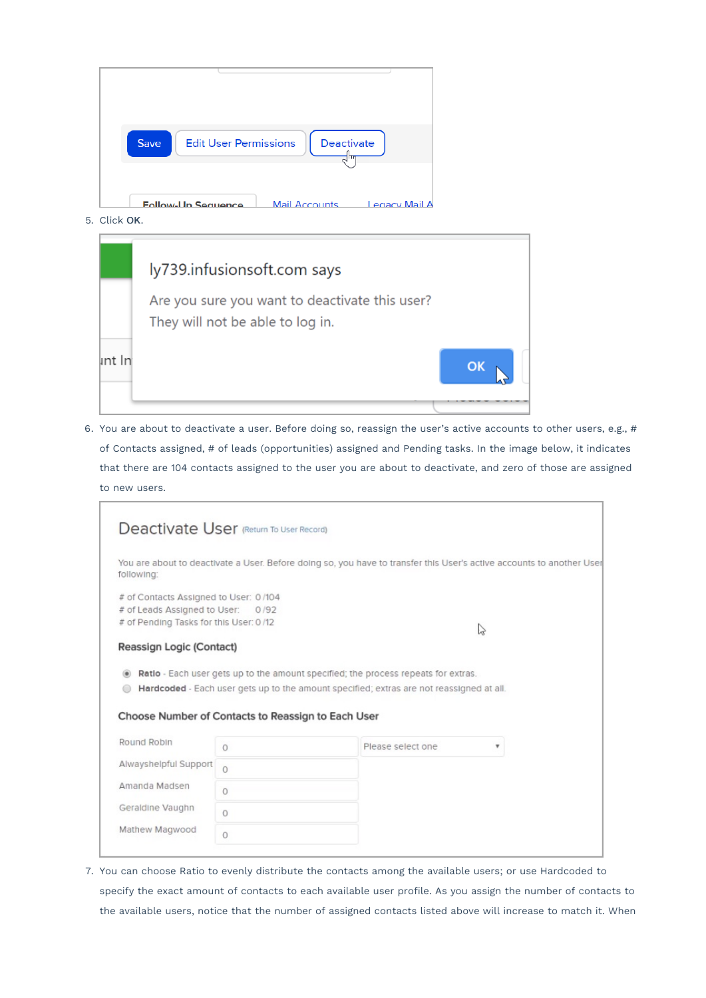| <b>Edit User Permissions</b><br>Deactivate<br>Save<br>.hr                  |
|----------------------------------------------------------------------------|
| <b>Mail Accounts</b><br><b>A ligM vogne L</b><br><b>Follow-Up Sequence</b> |

5. Click OK.

|        | ly739.infusionsoft.com says                                                        |          |  |
|--------|------------------------------------------------------------------------------------|----------|--|
|        | Are you sure you want to deactivate this user?<br>They will not be able to log in. |          |  |
| int In |                                                                                    | $\alpha$ |  |

6. You are about to deactivate a user. Before doing so, reassign the user's active accounts to other users, e.g., # of Contacts assigned, # of leads (opportunities) assigned and Pending tasks. In the image below, it indicates that there are 104 contacts assigned to the user you are about to deactivate, and zero of those are assigned to new users.

|                                                                           |          | You are about to deactivate a User. Before doing so, you have to transfer this User's active accounts to another User |
|---------------------------------------------------------------------------|----------|-----------------------------------------------------------------------------------------------------------------------|
| following:                                                                |          |                                                                                                                       |
| # of Contacts Assigned to User: 0/104                                     |          |                                                                                                                       |
| # of Leads Assigned to User: 0/92                                         |          |                                                                                                                       |
| # of Pending Tasks for this User: 0/12                                    |          | い                                                                                                                     |
| Reassign Logic (Contact)                                                  |          |                                                                                                                       |
|                                                                           |          |                                                                                                                       |
|                                                                           |          |                                                                                                                       |
|                                                                           |          | Ratlo - Each user gets up to the amount specified; the process repeats for extras.                                    |
|                                                                           |          | Hardcoded - Each user gets up to the amount specified; extras are not reassigned at all.                              |
|                                                                           |          |                                                                                                                       |
| Choose Number of Contacts to Reassign to Each User                        |          |                                                                                                                       |
|                                                                           |          |                                                                                                                       |
|                                                                           | $\Omega$ | Please select one<br>v                                                                                                |
|                                                                           | $\Omega$ |                                                                                                                       |
|                                                                           |          |                                                                                                                       |
|                                                                           | $\circ$  |                                                                                                                       |
| Round Robin<br>Alwayshelpful Support<br>Amanda Madsen<br>Geraldine Vaughn | $\Omega$ |                                                                                                                       |

7. You can choose Ratio to evenly distribute the contacts among the available users; or use Hardcoded to specify the exact amount of contacts to each available user profile. As you assign the number of contacts to the available users, notice that the number of assigned contacts listed above will increase to match it. When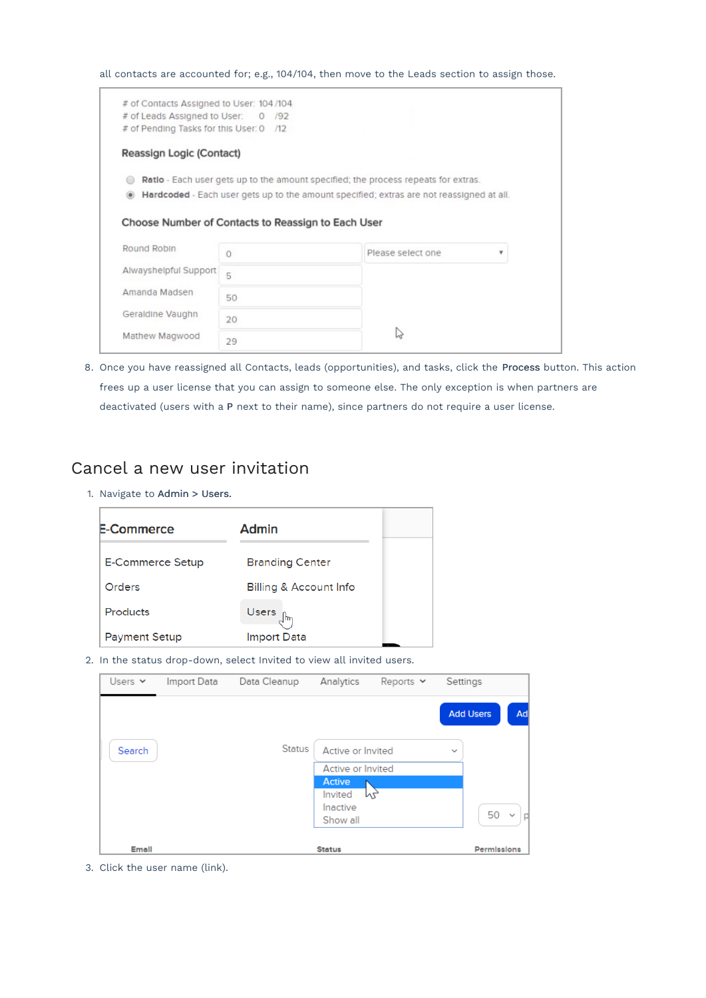all contacts are accounted for; e.g., 104/104, then move to the Leads section to assign those.

| # of Leads Assigned to User: 0 /92                                |          |                                                                                           |   |
|-------------------------------------------------------------------|----------|-------------------------------------------------------------------------------------------|---|
| # of Pending Tasks for this User: 0 /12                           |          |                                                                                           |   |
| Reassign Logic (Contact)                                          |          |                                                                                           |   |
|                                                                   |          | <b>Ratio</b> - Each user gets up to the amount specified; the process repeats for extras. |   |
|                                                                   |          | Hardcoded - Each user gets up to the amount specified; extras are not reassigned at all.  |   |
|                                                                   |          |                                                                                           |   |
|                                                                   |          |                                                                                           |   |
|                                                                   |          |                                                                                           |   |
|                                                                   |          |                                                                                           |   |
|                                                                   |          |                                                                                           |   |
| Choose Number of Contacts to Reassign to Each User<br>Round Robin |          |                                                                                           | ۰ |
|                                                                   | $\Omega$ | Please select one                                                                         |   |
|                                                                   | 5        |                                                                                           |   |
| Alwayshelpful Support                                             |          |                                                                                           |   |
|                                                                   | 50       |                                                                                           |   |
|                                                                   |          |                                                                                           |   |
| Amanda Madsen<br>Geraldine Vaughn                                 | 20       |                                                                                           |   |
| Mathew Magwood                                                    | 29       | Ьà                                                                                        |   |

8. Once you have reassigned all Contacts, leads (opportunities), and tasks, click the Process button. This action frees up a user license that you can assign to someone else. The only exception is when partners are deactivated (users with a P next to their name), since partners do not require a user license.

### Cancel a new user invitation

1. Navigate to Admin > Users.

| E-Commerce           | Admin                             |
|----------------------|-----------------------------------|
| E-Commerce Setup     | <b>Branding Center</b>            |
| Orders               | <b>Billing &amp; Account Info</b> |
| Products             | Users $\int_{\mathbb{R}}$         |
| <b>Payment Setup</b> | Import Data                       |

2. In the status drop-down, select Invited to view all invited users.

| Users $\vee$ | Import Data | Data Cleanup  | Analytics                              | Reports $\vee$ | Settings     |                         |
|--------------|-------------|---------------|----------------------------------------|----------------|--------------|-------------------------|
|              |             |               |                                        |                |              | <b>Add Users</b><br>Ad  |
| Search       |             | <b>Status</b> | Active or Invited<br>Active or Invited |                | $\checkmark$ |                         |
|              |             |               | Active<br>Invited                      | My             |              |                         |
|              |             |               | Inactive<br>Show all                   |                |              | 50<br>$\checkmark$<br>p |
| Email        |             |               | <b>Status</b>                          |                |              | Permissions             |

3. Click the user name (link).